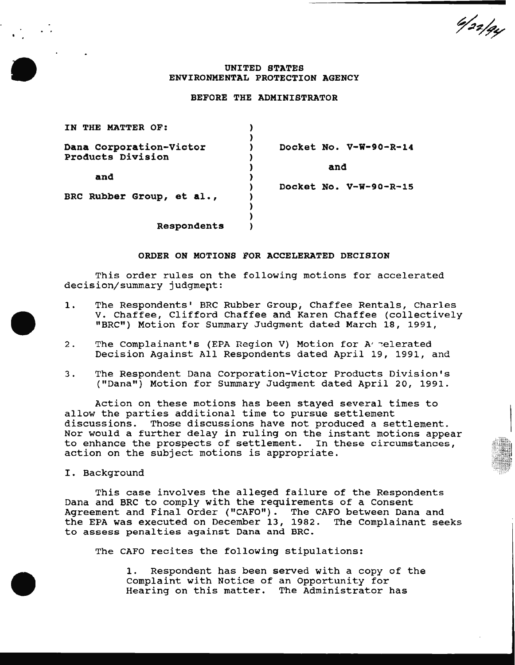4/22/94

# UNITED STATES ENVIRONMENTAL PROTECTION AGENCY

# BEFORE THE ADMINISTRATOR

| THE MATTER OF:<br>TN                         |                          |
|----------------------------------------------|--------------------------|
| Dana Corporation-Victor<br>Products Division | Docket No. V-W-90-R-14   |
|                                              | and                      |
| and                                          | Docket No. $V-W-90-R-15$ |
| BRC Rubber Group, et al.,                    |                          |
| <b>Respondents</b>                           |                          |

#### ORDER ON MOTIONS FOR ACCELERATED DECISION

This order rules on the following motions for accelerated decision/summary judgment:

- 1. The Respondents' BRC Rubber Group, Chaffee Rentals, Charles V. Chaffee, Clifford Chaffee and Karen Chaffee (collectively "BRC") Motion for Summary Judgment dated March 18, 1991,
- 2. The Complainant's (EPA Region V) Motion for A relerated Decision Against All Respondents dated April 19, 1991, and
- 3. The Respondent Dana Corporation-Victor Products Division's ("Dana") Motion for Summary Judgment dated April 20, 1991.

Action on these motions has been stayed several times to allow the parties additional time to pursue settlement discussions. Those discussions have not produced a settlement. Nor would a further delay in ruling on the instant motions appear to enhance the prospects of settlement. In these circumstances, action on the subject motions is appropriate.

# I. Background

This case involves the alleged failure of the Respondents Dana and BRC to comply with the requirements of a Consent Agreement and Final Order ("CAFO"). The CAFO between Dana and the EPA was executed on December 13, 1982. The Complainant seeks to assess penalties against Dana and BRC.

The CAFO recites the following stipulations:

1. Respondent has been served with a copy of the Complaint with Notice of an Opportunity for Hearing on this matter. The Administrator has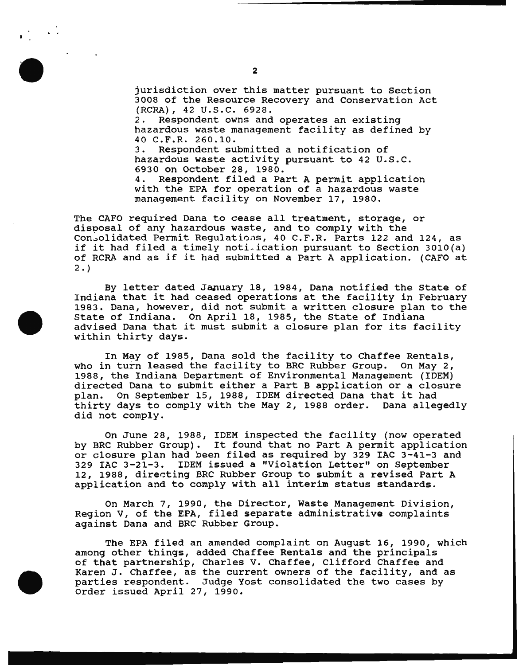jurisdiction over this matter pursuant to Section 3008 of the Resource Recovery and Conservation Act (RCRA), 42 U.S.C. 6928. 2. Respondent owns and operates an existing hazardous waste management facility as defined by 40 C.F.R. 260.10. 3. Respondent submitted a notification of hazardous waste activity pursuant to 42 U.S.C. 6930 on October 28, 1980. 4. Respondent filed a Part A permit application with the EPA for operation of a hazardous waste management facility on November 17, 1980.

The CAFO required Dana to cease all treatment, storage, or disposal of any hazardous waste, and to comply with the Con<sub>solidated Permit Regulations, 40 C.F.R. Parts 122 and 124, as</sub> if it had filed a timely notilication pursuant to Section 3010(a) of RCRA and as if it had submitted a Part A application. (CAFO at  $2.$ 

By letter dated January 18, 1984, Dana notified the State of Indiana that it had ceased operations at the facility in February 1983. Dana, however, did not submit a written closure plan to the State of Indiana. On April 18, 1985, the State of Indiana advised Dana that it must submit a closure plan for its facility within thirty days.

In May of 1985, Dana sold the facility to Chaffee Rentals,<br>n turn leased the facility to BRC Rubber Group. On May 2, who in turn leased the facility to BRC Rubber Group. 1988, the Indiana Department of Environmental Management (IDEM) directed Dana to submit either a Part B application or a closure<br>plan. On September 15, 1988, IDEM directed Dana that it had On September 15, 1988, IDEM directed Dana that it had thirty days to comply with the May 2, 1988 order. Dana allegedly did not comply.

On June 28, 1988, IDEM inspected the facility (now operated by BRC Rubber Group). It found that no Part A permit application or closure plan had been filed as required by 329 IAC 3-41-3 and 329 IAC 3-21-3. IDEM issued a "Violation Letter" on September 12, 1988, directing BRC Rubber Group to submit a revised Part A application and to comply with all interim status standards.

On March 7, 1990, the Director, Waste Management Division, Region v, of the EPA, filed separate administrative complaints against Dana and BRC Rubber Group.

The EPA filed an amended complaint on August 16, 1990, which among other things, added Chaffee Rentals and the principals of that partnership, Charles v. Chaffee, Clifford Chaffee and Karen J. Chaffee, as the current owners of the facility, and as parties respondent. Judge Yost consolidated the two cases by Order issued April 27, 1990.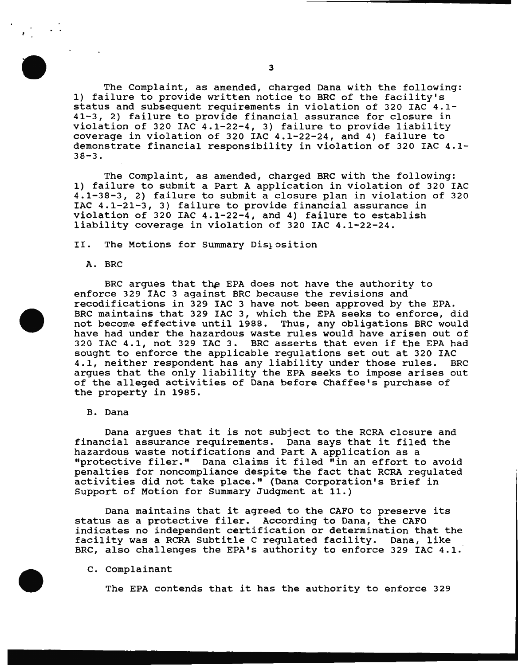The Complaint, as amended, charged Dana with the following: 1) failure to provide written notice to BRC of the facility's status and subsequent requirements in violation of 320 IAC 4.1- 41-3, 2) failure to provide financial assurance for closure in violation of 320 IAC 4.1-22-4, 3) failure to provide liability coverage in violation of 320 IAC 4.1-22-24, and 4) failure to demonstrate financial responsibility in violation of 320 IAC 4.1- 38-3.

The Complaint, as amended, charged BRC with the following: 1) failure to submit a Part A application in violation of 320 IAC 4.1-38-3, 2) failure to submit a closure plan in violation of 320 IAC 4.1-21-3, 3) failure to provide financial assurance in violation of 320 IAC 4.1-22-4, and 4) failure to establish liability coverage in violation of 320 IAC 4.1-22-24.

II. The Motions for Summary Distosition

A. BRC

BRC argues that the EPA does not have the authority to enforce 329 IAC 3 against BRC because the revisions and recodifications in 329 IAC 3 have not been approved by the EPA. BRC maintains that 329 IAC 3, which the EPA seeks to enforce, did not become effective until 1988. Thus, any obligations BRC would have had under the hazardous waste rules would have arisen out of 320 IAC 4.1, not 329 IAC 3. BRC asserts that even if the EPA had sought to enforce the applicable regulations set out at 320 IAC<br>4.1, neither respondent has any liability under those rules. BRC 4.1, neither respondent has any liability under those rules. argues that the only liability the EPA seeks to impose arises out of the alleged activities of Dana before Chaffee's purchase of the property in 1985.

B. Dana

Dana argues that it is not subject to the RCRA closure and financial assurance requirements. Dana says that it filed the hazardous waste notifications and Part A application as a "protective filer." Dana claims it filed "in an effort to avoid penalties for noncompliance despite the fact that RCRA regulated activities did not take place." (Dana Corporation's Brief in Support of Motion for Summary Judgment at 11.)

Dana maintains that it agreed to the CAFO to preserve its status as a protective filer. According to Dana, the CAFO indicates no independent certification or determination that the facility was a RCRA Subtitle C regulated facility. Dana, like BRC, also challenges the EPA's authority to enforce 329 IAC 4.1.

## c. Complainant

The EPA contends that it has the authority to enforce 329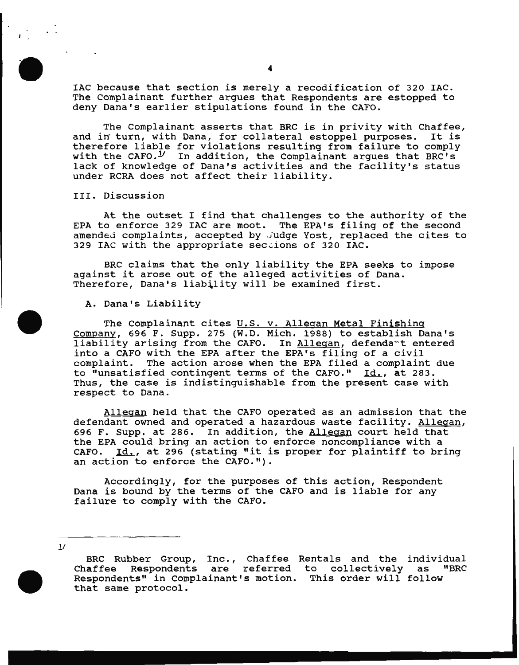IAC because that section is merely a recodification of 320 IAC. The Complainant further argues that Respondents are estopped to deny Dana's earlier stipulations found in the CAFO.

The Complainant asserts that BRC is in privity with Chaffee, and in turn, with Dana, for collateral estoppel purposes. It is therefore liable for violations resulting from failure to comply with the CAFO.<sup>1</sup>/ In addition, the Complainant argues that BRC's lack of knowledge of Dana's activities and the facility's status under RCRA does not affect their liability.

III. Discussion

At the outset I find that challenges to the authority of the EPA to enforce 329 IAC are moot. The EPA's filing of the second amended complaints, accepted by Judge Yost, replaced the cites to 329 IAC with the appropriate sections of 320 IAC.

BRC claims that the only liability the EPA seeks to impose against it arose out of the alleged activities of Dana. Therefore, Dana's liability will be examined first.

### A. Dana's Liability

The Complainant cites U.S. v. Allegan Metal Finishing Company, 696 F. Supp. 275 (W.D. Mich. 1988) to establish Dana's liability arising from the CAFO. In Allegan, defendant entered into a CAFO with the EPA after the EPA's filing of a civil complaint. The action arose when the EPA filed a complaint due to "unsatisfied contingent terms of the CAFO."  $\underline{Id.}$ , at 283. Thus, the case is indistinguishable from the present case with respect to Dana.

Allegan held that the CAFO operated as an admission that the defendant owned and operated a hazardous waste facility. Allegan, 696 F. Supp. at 286. In addition, the Allegan court held that the EPA could bring an action to enforce noncompliance with a CAFO. Id., at 296 (stating "it is proper for plaintiff to bring an action to enforce the CAFO.").

Accordingly, for the purposes of this action, Respondent Dana is bound by the terms of the CAFO and is liable for any failure to comply with the CAFO.

 $1/$ 

BRC Rubber Group, Inc., Chaffee Rentals and the individual<br>Chaffee Respondents are referred to collectively as "BRC Respondents are referred to collectively as "BRC Respondents" in Complainant's motion. This order will follow that same protocol.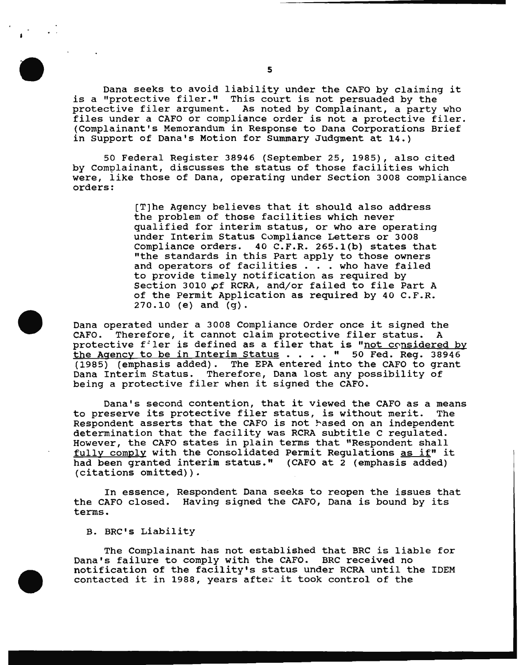Dana seeks to avoid liability under the CAPO by claiming it is a ''protective filer." This court is not persuaded by the protective filer argument. As noted by Complainant, a party who files under a CAPO or compliance order is not a protective filer. (Complainant's Memorandum in Response to Dana Corporations Brief in Support of Dana's Motion for Summary Judgment at 14.)

50 Federal Register 38946 (September 25, 1985), also cited by Complainant, discusses the status of those facilities which were, like those of Dana, operating under Section 3008 compliance orders:

> [T]he Agency believes that it should also address the problem of those facilities which never qualified for interim status, or who are operating under Interim Status Compliance Letters or 3008 Compliance orders. 40 C.F.R. 265.1(b) states that "the standards in this Part apply to those owners and operators of facilities . . . who have failed to provide timely notification as required by Section 3010 of RCRA, and/or failed to file Part A of the Permit Application as required by 40 c.F.R. 270.10 (e) and (g).

Dana operated under a 3008 Compliance Order once it signed the CAFO. Therefore, it cannot claim protective filer status. A protective filer is defined as a filer that is "not considered by the Agency to be in Interim Status . . . . " 50 Fed. Reg. 38946 (1985) (emphasis added). The EPA entered into the CAFO to grant Dana Interim Status. Therefore, Dana lost any possibility of being a protective filer when it signed the CAFO.

Dana's second contention, that it viewed the CAFO as a means<br>eserve its protective filer status, is without merit. The to preserve its protective filer status, is without merit. Respondent asserts that the CAFO is not hased on an independent determination that the facility was RCRA subtitle C regulated. However, the CAPO states in plain terms that "Respondent shall fully comply with the Consolidated Permit Regulations as if" it had been granted interim status." (CAFO at 2 (emphasis added) (citations omitted)).

In essence, Respondent Dana seeks to reopen the issues that the CAFO closed. Having signed the CAFO, Dana is bound by its terms.

B. BRC's Liability

The Complainant has not established that BRC is liable for Dana's failure to comply with the CAFO. BRC received no notification of the facility's status under RCRA until the IDEM contacted it in 1988, years after it took control of the

5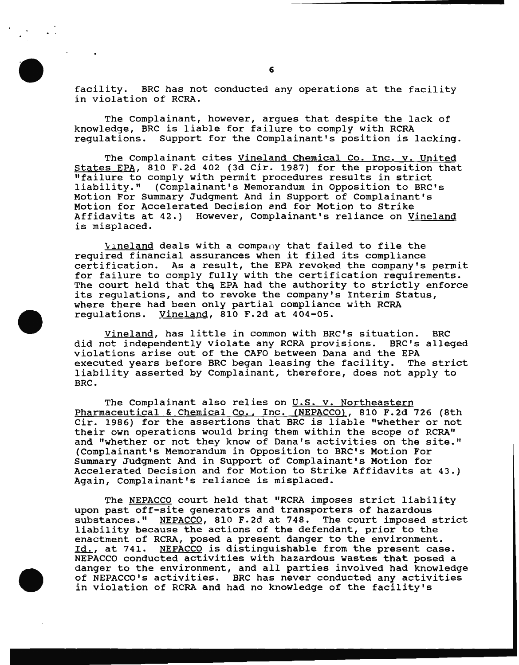facility. BRC has not conducted any operations at the facility in violation of RCRA.

The complainant, however, argues that despite the lack of knowledge, BRC is liable for failure to comply with RCRA regulations. Support for the Complainant's position is lacking.

The Complainant cites Vineland Chemical Co. Inc. v. United states EPA, 810 F.2d 402 (3d Cir. 1987) for the proposition that "failure to comply with permit procedures results in strict liability." (Complainant's Memorandum in Opposition to BRC's Motion For summary Judgment And in Support of Complainant's Motion for Accelerated Decision and for Motion to Strike Affidavits at 42.) However, Complainant's reliance on Vineland is misplaced.

 $V_1$ neland deals with a company that failed to file the required financial assurances when it filed its compliance certification. As a result, the EPA revoked the company's permit for failure to comply fully with the certification requirements. The court held that the EPA had the authority to strictly enforce its regulations, and to revoke the company's Interim Status, where there had been only partial compliance with RCRA regulations. Vineland, 810 F.2d at 404-05.

Vineland, has little in common with BRC's situation. BRC did not independently violate any RCRA provisions. BRC's alleged violations arise out of the CAFO between Dana and the EPA executed years before BRC began leasing the facility. The strict liability asserted by Complainant, therefore, does not apply to BRC.

The Complainant also relies on U.S. v. Northeastern Pharmaceutical & Chemical Co., Inc. (NEPACCO), 810 F.2d 726 (8th Cir. 1986) for the assertions that BRC is liable "whether or not their own operations would bring them within the scope of RCRA" and "whether or not they know of Dana's activities on the site." (Complainant's Memorandum in Opposition to BRC's Motion For summary Judgment And in Support of Complainant's Motion for Accelerated Decision and for Motion to strike Affidavits at 43.) Again, Complainant's reliance is misplaced.

The NEPACCO court held that "RCRA imposes strict liability upon past off-site generators and transporters of hazardous substances." NEPACCO, 810 F.2d at 748. The court imposed strict liability because the actions of the defendant, prior to the enactment of RCRA, posed a present danger to the environment. Id., at 741. NEPACCO is distinguishable from the present case. NEPACCO conducted activities with hazardous wastes that posed a danger to the environment, and all parties involved had knowledge of NEPACCO's activities. BRC has never conducted any activities in violation of RCRA and had no knowledge of the facility's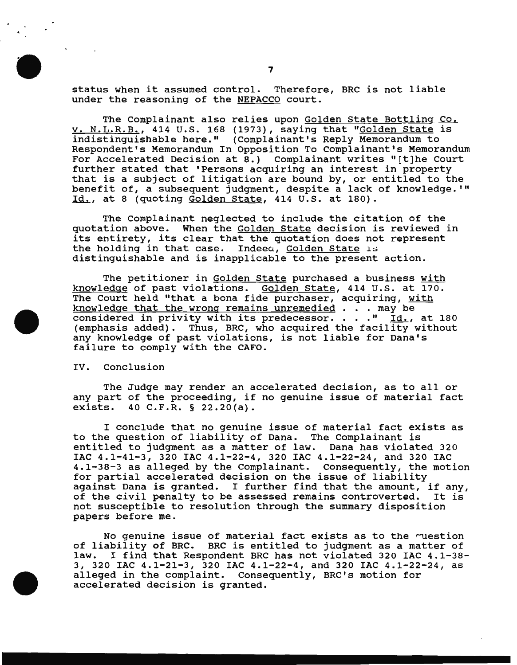status when it assumed control. Therefore, BRC is not liable under the reasoning of the NEPACCO court.

The Complainant also relies upon Golden State Bottling Co. v. N.L.R.B., 414 U.S. 168 {1973), saying that "Golden State is indistinguishable here." {Complainant's Reply Memorandum to Respondent's Memorandum In Opposition To complainant's Memorandum For Accelerated Decision at 8.) Complainant writes "[t]he Court further stated that 'Persons acquiring an interest in property that is a subject of litigation are bound by, or entitled to the benefit of, a subsequent judgment, despite a lack of knowledge.'" Id., at 8 {quoting Golden state, 414 u.s. at 180).

The Complainant neglected to include the citation of the quotation above. When the Golden State decision is reviewed in its entirety, its clear that the quotation does not represent the holding in that case. Indeea, Golden State 15 distinguishable and is inapplicable to the present action.

The petitioner in Golden State purchased a business with knowledge of past violations. Golden state, 414 u.s. at 170. The Court held "that a bona fide purchaser, acquiring, with knowledge that the wrong remains unremedied . . . may be considered in privity with its predecessor. . . . "  $Id.$ , at 180 {emphasis added). Thus, BRC, who acquired the facility without any knowledge of past violations, is not liable for Dana's failure to comply with the CAFO.

IV. Conclusion

The Judge may render an accelerated decision, as to all or any part of the proceeding, if no genuine issue of material fact exists.  $40 \text{ C.F.R. }$  \$ 22.20(a). 40 C.F.R.  $§$  22.20(a).

I conclude that no genuine issue of material fact exists as to the question of liability of Dana. The Complainant is entitled to judgment as a matter of law. Dana has violated 320 IAC 4.1-41-3, 320 IAC 4.1-22-4, 320 IAC 4.1-22-24, and 320 IAC 4.1-38-3 as alleged by the Complainant. Consequently, the motion for partial accelerated decision on the issue of liability against Dana is granted. I further find that the amount, if any, of the civil penalty to be assessed remains controverted. It is not susceptible to resolution through the summary disposition papers before me.

No genuine issue of material fact exists as to the question of liability of BRC. BRC is entitled to judgment as a matter of<br>law. I find that Respondent BRC has not violated 320 IAC 4.1-38 I find that Respondent BRC has not violated 320 IAC 4.1-38-3, 320 IAC 4.1-21-3, 320 IAC 4.1-22-4, and 320 IAC 4.1-22-24, as alleged in the complaint. Consequently, BRC's motion for accelerated decision is granted.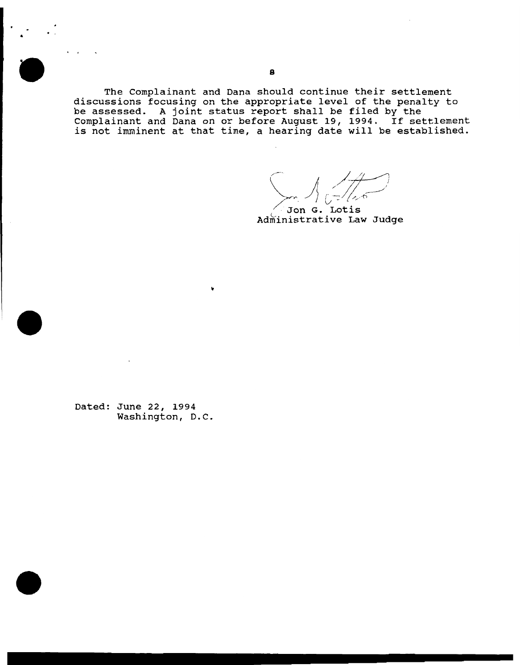The Complainant and Dana should continue their settlement discussions focusing on the appropriate level of the penalty to be assessed. A joint status report shall be filed by the Complainant and Dana on or before August 19, 1994. If settlement is not imminent at that time, a hearing date will be established.

 $\sum_{n=1}^{\infty}\frac{1}{n^5}$ Jon G. Lotis

Administrative Law Judge

Dated: June 22, 1994 Washington, D.C.

•

. .